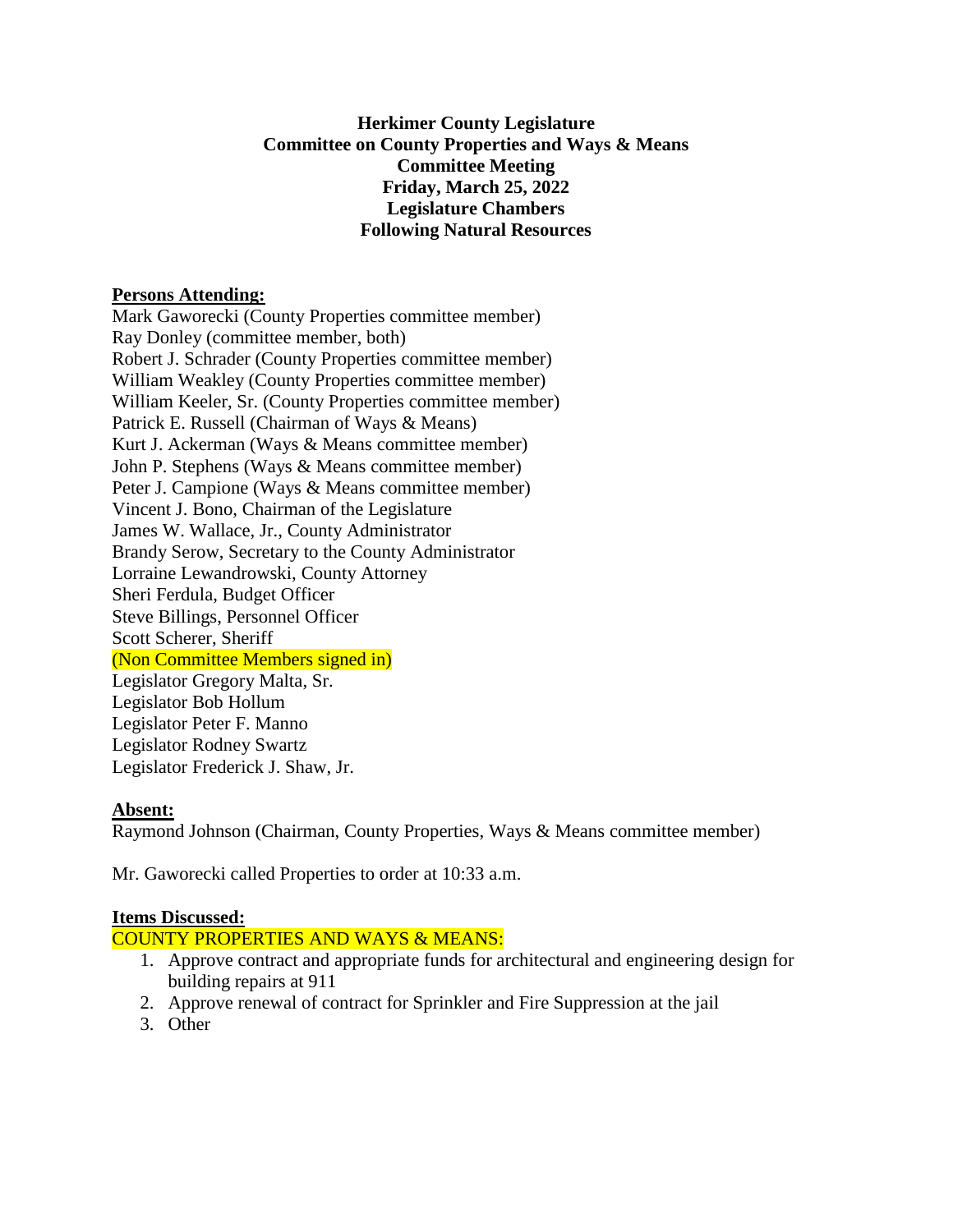# **Herkimer County Legislature Committee on County Properties and Ways & Means Committee Meeting Friday, March 25, 2022 Legislature Chambers Following Natural Resources**

### **Persons Attending:**

Mark Gaworecki (County Properties committee member) Ray Donley (committee member, both) Robert J. Schrader (County Properties committee member) William Weakley (County Properties committee member) William Keeler, Sr. (County Properties committee member) Patrick E. Russell (Chairman of Ways & Means) Kurt J. Ackerman (Ways & Means committee member) John P. Stephens (Ways & Means committee member) Peter J. Campione (Ways & Means committee member) Vincent J. Bono, Chairman of the Legislature James W. Wallace, Jr., County Administrator Brandy Serow, Secretary to the County Administrator Lorraine Lewandrowski, County Attorney Sheri Ferdula, Budget Officer Steve Billings, Personnel Officer Scott Scherer, Sheriff (Non Committee Members signed in) Legislator Gregory Malta, Sr. Legislator Bob Hollum Legislator Peter F. Manno Legislator Rodney Swartz

Legislator Frederick J. Shaw, Jr.

# **Absent:**

Raymond Johnson (Chairman, County Properties, Ways & Means committee member)

Mr. Gaworecki called Properties to order at 10:33 a.m.

#### **Items Discussed:**

COUNTY PROPERTIES AND WAYS & MEANS:

- 1. Approve contract and appropriate funds for architectural and engineering design for building repairs at 911
- 2. Approve renewal of contract for Sprinkler and Fire Suppression at the jail
- 3. Other